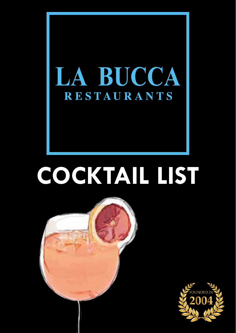

# **COCKTAIL LIST**



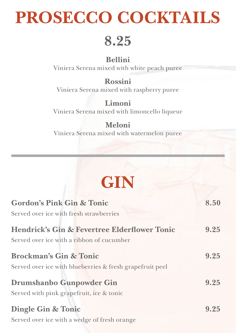# **PROSECCO COCKTAILS**

### **8.25**

#### **Bellini**

Viniera Serena mixed with white peach puree

### **Rossini**

Viniera Serena mixed with raspberry puree

#### **Limoni**

Viniera Serena mixed with limoncello liqueur

**Meloni**  Viniera Serena mixed with watermelon puree

### **GIN**

| <b>Gordon's Pink Gin &amp; Tonic</b>                                                                 | 8.50 |
|------------------------------------------------------------------------------------------------------|------|
| Served over ice with fresh strawberries                                                              |      |
| <b>Hendrick's Gin &amp; Fevertree Elderflower Tonic</b><br>Served over ice with a ribbon of cucumber | 9.25 |
| <b>Brockman's Gin &amp; Tonic</b><br>Served over ice with blueberries & fresh grapefruit peel        | 9.25 |
| Drumshanbo Gunpowder Gin                                                                             | 9.25 |
| Served with pink grapefruit, ice & tonic                                                             |      |
| Dingle Gin & Tonic                                                                                   | 9.25 |
| Served over ice with a wedge of fresh orange                                                         |      |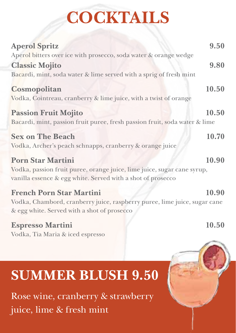# **COCKTAILS**

| <b>Aperol Spritz</b>                                                       | 9.50  |
|----------------------------------------------------------------------------|-------|
| Aperol bitters over ice with prosecco, soda water & orange wedge           |       |
| <b>Classic Mojito</b>                                                      | 9.80  |
| Bacardi, mint, soda water & lime served with a sprig of fresh mint         |       |
| Cosmopolitan                                                               | 10.50 |
| Vodka, Cointreau, cranberry & lime juice, with a twist of orange           |       |
| <b>Passion Fruit Mojito</b>                                                | 10.50 |
| Bacardi, mint, passion fruit puree, fresh passion fruit, soda water & lime |       |
| <b>Sex on The Beach</b>                                                    | 10.70 |
| Vodka, Archer's peach schnapps, cranberry & orange juice                   |       |
| <b>Porn Star Martini</b>                                                   | 10.90 |
| Vodka, passion fruit puree, orange juice, lime juice, sugar cane syrup,    |       |
| vanilla essence & egg white. Served with a shot of prosecco                |       |
| <b>French Porn Star Martini</b>                                            | 10.90 |
| Vodka, Chambord, cranberry juice, raspberry puree, lime juice, sugar cane  |       |
| & egg white. Served with a shot of prosecco                                |       |

**Espresso Martini 10.50** Vodka, Tia Maria & iced espresso

## **SUMMER BLUSH 9.50**

Rose wine, cranberry & strawberry juice, lime & fresh mint